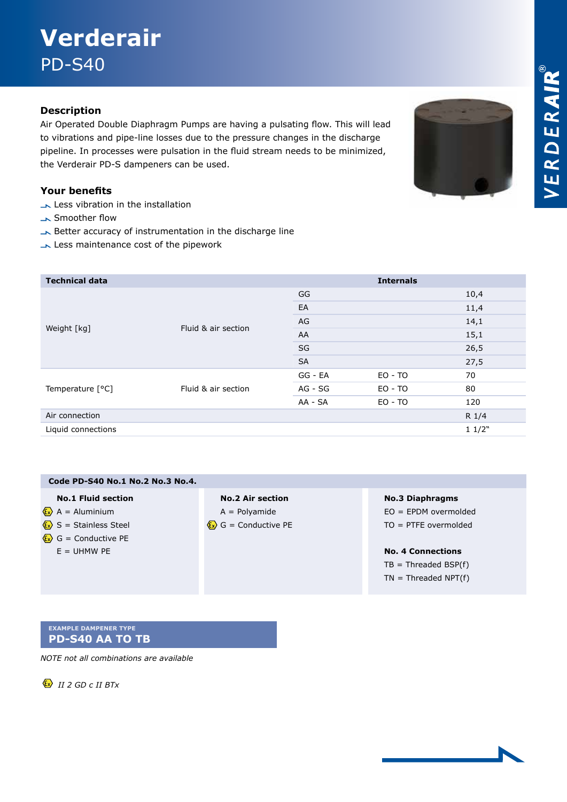# **Verderair**  PD-S40

### **Description**

Air Operated Double Diaphragm Pumps are having a pulsating flow. This will lead to vibrations and pipe-line losses due to the pressure changes in the discharge pipeline. In processes were pulsation in the fluid stream needs to be minimized, the Verderair PD-S dampeners can be used.

#### **Your benefits**

- Less vibration in the installation
- Smoother flow
- Better accuracy of instrumentation in the discharge line
- Less maintenance cost of the pipework

| <b>Technical data</b> |                     |           | <b>Internals</b> |       |
|-----------------------|---------------------|-----------|------------------|-------|
| Weight [kg]           | Fluid & air section | GG        |                  | 10,4  |
|                       |                     | EA        |                  | 11,4  |
|                       |                     | AG        |                  | 14,1  |
|                       |                     | AA        |                  | 15,1  |
|                       |                     | SG        |                  | 26,5  |
|                       |                     | <b>SA</b> |                  | 27,5  |
| Temperature [°C]      | Fluid & air section | GG - EA   | $EO - TO$        | 70    |
|                       |                     | AG - SG   | $EO - TO$        | 80    |
|                       |                     | AA - SA   | $EO - TO$        | 120   |
| Air connection        |                     |           |                  | R 1/4 |
| Liquid connections    |                     |           |                  | 11/2" |

| Code PD-S40 No.1 No.2 No.3 No.4.                 |                                                |                          |
|--------------------------------------------------|------------------------------------------------|--------------------------|
| <b>No.1 Fluid section</b>                        | <b>No.2 Air section</b>                        | <b>No.3 Diaphragms</b>   |
| $\langle \mathbf{x} \rangle$ A = Aluminium       | $A =$ Polyamide                                | $EO = EPDM$ overmolded   |
| $\langle \mathbf{x} \rangle$ S = Stainless Steel | $\langle \mathbf{x} \rangle$ G = Conductive PE | $TO = PTFE overmolded$   |
| $\langle \mathbf{x} \rangle$ G = Conductive PE   |                                                |                          |
| $E = UHMW PE$                                    |                                                | <b>No. 4 Connections</b> |
|                                                  |                                                | $TB = Threaded BSP(f)$   |
|                                                  |                                                | $TN = Threaded NPT(f)$   |
|                                                  |                                                |                          |

#### **Example dampener type PD-S40 AA TO TB**

*NOTE not all combinations are available*

 $\langle x \rangle$  *II 2 GD c II BTx*